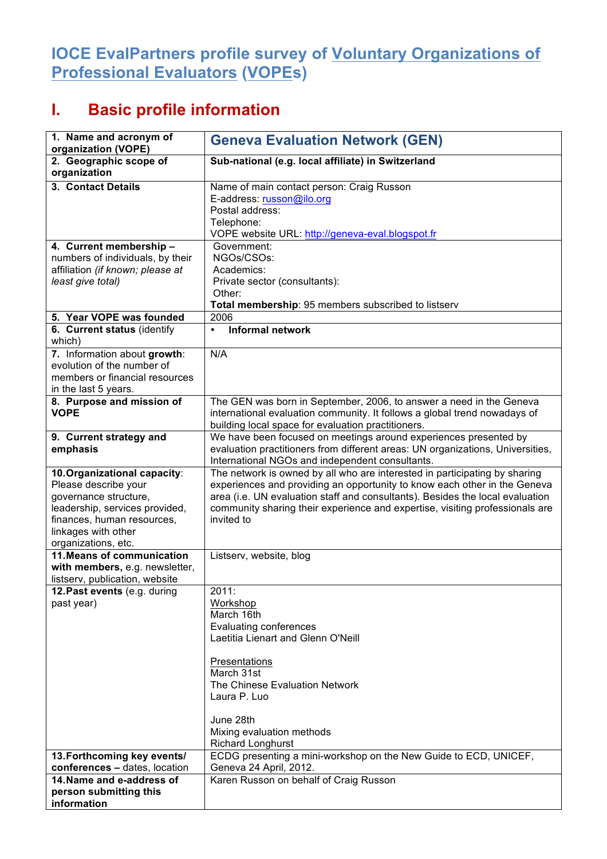## **IOCE EvalPartners profile survey of Voluntary Organizations of Professional Evaluators (VOPEs)**

## **I. Basic profile information**

| 1. Name and acronym of<br>organization (VOPE)                                                                                                                                               | <b>Geneva Evaluation Network (GEN)</b>                                                                                                                                                                                                                                                                                                 |
|---------------------------------------------------------------------------------------------------------------------------------------------------------------------------------------------|----------------------------------------------------------------------------------------------------------------------------------------------------------------------------------------------------------------------------------------------------------------------------------------------------------------------------------------|
| 2. Geographic scope of<br>organization                                                                                                                                                      | Sub-national (e.g. local affiliate) in Switzerland                                                                                                                                                                                                                                                                                     |
| 3. Contact Details                                                                                                                                                                          | Name of main contact person: Craig Russon<br>E-address: russon@ilo.org<br>Postal address:<br>Telephone:<br>VOPE website URL: http://geneva-eval.blogspot.fr                                                                                                                                                                            |
| 4. Current membership -<br>numbers of individuals, by their<br>affiliation (if known; please at<br>least give total)                                                                        | Government:<br>NGOs/CSOs:<br>Academics:<br>Private sector (consultants):<br>Other:<br>Total membership: 95 members subscribed to listserv                                                                                                                                                                                              |
| 5. Year VOPE was founded                                                                                                                                                                    | 2006                                                                                                                                                                                                                                                                                                                                   |
| 6. Current status (identify<br>which)                                                                                                                                                       | <b>Informal network</b><br>$\bullet$                                                                                                                                                                                                                                                                                                   |
| 7. Information about growth:<br>evolution of the number of<br>members or financial resources<br>in the last 5 years.                                                                        | N/A                                                                                                                                                                                                                                                                                                                                    |
| 8. Purpose and mission of<br><b>VOPE</b>                                                                                                                                                    | The GEN was born in September, 2006, to answer a need in the Geneva<br>international evaluation community. It follows a global trend nowadays of<br>building local space for evaluation practitioners.                                                                                                                                 |
| 9. Current strategy and<br>emphasis                                                                                                                                                         | We have been focused on meetings around experiences presented by<br>evaluation practitioners from different areas: UN organizations, Universities,<br>International NGOs and independent consultants.                                                                                                                                  |
| 10. Organizational capacity:<br>Please describe your<br>governance structure,<br>leadership, services provided,<br>finances, human resources,<br>linkages with other<br>organizations, etc. | The network is owned by all who are interested in participating by sharing<br>experiences and providing an opportunity to know each other in the Geneva<br>area (i.e. UN evaluation staff and consultants). Besides the local evaluation<br>community sharing their experience and expertise, visiting professionals are<br>invited to |
| 11. Means of communication<br>with members, e.g. newsletter,<br>listserv, publication, website                                                                                              | Listserv, website, blog                                                                                                                                                                                                                                                                                                                |
| 12. Past events (e.g. during<br>past year)                                                                                                                                                  | 2011:<br>Workshop<br>March 16th<br><b>Evaluating conferences</b><br>Laetitia Lienart and Glenn O'Neill<br>Presentations<br>March 31st<br>The Chinese Evaluation Network<br>Laura P. Luo<br>June 28th<br>Mixing evaluation methods<br><b>Richard Longhurst</b>                                                                          |
| 13. Forthcoming key events/<br>conferences - dates, location                                                                                                                                | ECDG presenting a mini-workshop on the New Guide to ECD, UNICEF,<br>Geneva 24 April, 2012.                                                                                                                                                                                                                                             |
| 14. Name and e-address of<br>person submitting this<br>information                                                                                                                          | Karen Russon on behalf of Craig Russon                                                                                                                                                                                                                                                                                                 |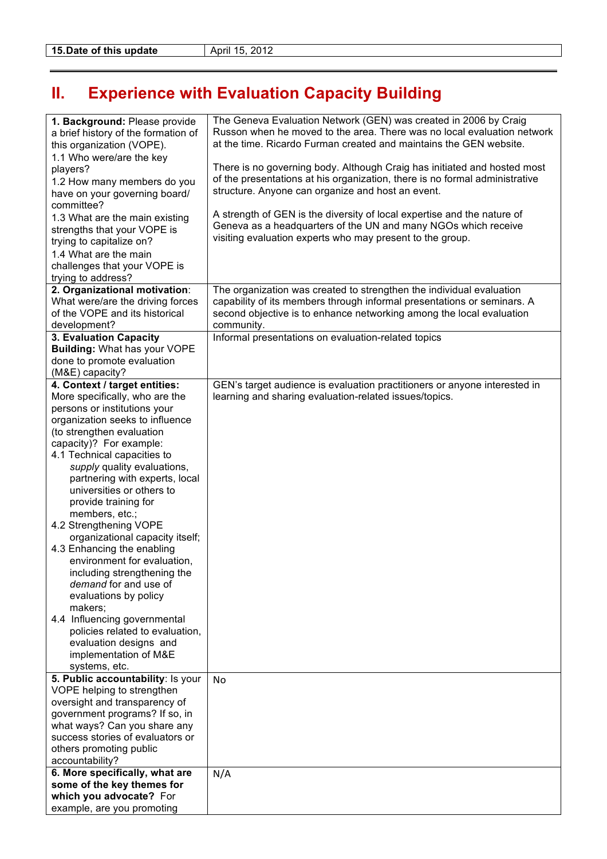## **II. Experience with Evaluation Capacity Building**

| 1. Background: Please provide<br>a brief history of the formation of<br>this organization (VOPE). | The Geneva Evaluation Network (GEN) was created in 2006 by Craig<br>Russon when he moved to the area. There was no local evaluation network<br>at the time. Ricardo Furman created and maintains the GEN website. |
|---------------------------------------------------------------------------------------------------|-------------------------------------------------------------------------------------------------------------------------------------------------------------------------------------------------------------------|
| 1.1 Who were/are the key                                                                          |                                                                                                                                                                                                                   |
| players?                                                                                          | There is no governing body. Although Craig has initiated and hosted most                                                                                                                                          |
| 1.2 How many members do you<br>have on your governing board/<br>committee?                        | of the presentations at his organization, there is no formal administrative<br>structure. Anyone can organize and host an event.                                                                                  |
| 1.3 What are the main existing                                                                    | A strength of GEN is the diversity of local expertise and the nature of                                                                                                                                           |
| strengths that your VOPE is                                                                       | Geneva as a headquarters of the UN and many NGOs which receive                                                                                                                                                    |
| trying to capitalize on?                                                                          | visiting evaluation experts who may present to the group.                                                                                                                                                         |
| 1.4 What are the main                                                                             |                                                                                                                                                                                                                   |
| challenges that your VOPE is                                                                      |                                                                                                                                                                                                                   |
| trying to address?<br>2. Organizational motivation:                                               | The organization was created to strengthen the individual evaluation                                                                                                                                              |
| What were/are the driving forces                                                                  | capability of its members through informal presentations or seminars. A                                                                                                                                           |
| of the VOPE and its historical                                                                    | second objective is to enhance networking among the local evaluation                                                                                                                                              |
| development?                                                                                      | community.                                                                                                                                                                                                        |
| 3. Evaluation Capacity<br><b>Building: What has your VOPE</b>                                     | Informal presentations on evaluation-related topics                                                                                                                                                               |
| done to promote evaluation                                                                        |                                                                                                                                                                                                                   |
| (M&E) capacity?                                                                                   |                                                                                                                                                                                                                   |
| 4. Context / target entities:                                                                     | GEN's target audience is evaluation practitioners or anyone interested in                                                                                                                                         |
| More specifically, who are the<br>persons or institutions your                                    | learning and sharing evaluation-related issues/topics.                                                                                                                                                            |
| organization seeks to influence                                                                   |                                                                                                                                                                                                                   |
| (to strengthen evaluation                                                                         |                                                                                                                                                                                                                   |
| capacity)? For example:                                                                           |                                                                                                                                                                                                                   |
| 4.1 Technical capacities to<br>supply quality evaluations,                                        |                                                                                                                                                                                                                   |
| partnering with experts, local                                                                    |                                                                                                                                                                                                                   |
| universities or others to                                                                         |                                                                                                                                                                                                                   |
| provide training for                                                                              |                                                                                                                                                                                                                   |
| members, etc.;<br>4.2 Strengthening VOPE                                                          |                                                                                                                                                                                                                   |
| organizational capacity itself;                                                                   |                                                                                                                                                                                                                   |
| 4.3 Enhancing the enabling                                                                        |                                                                                                                                                                                                                   |
| environment for evaluation,                                                                       |                                                                                                                                                                                                                   |
| including strengthening the<br>demand for and use of                                              |                                                                                                                                                                                                                   |
| evaluations by policy                                                                             |                                                                                                                                                                                                                   |
| makers;                                                                                           |                                                                                                                                                                                                                   |
| 4.4 Influencing governmental                                                                      |                                                                                                                                                                                                                   |
| policies related to evaluation,<br>evaluation designs and                                         |                                                                                                                                                                                                                   |
| implementation of M&E                                                                             |                                                                                                                                                                                                                   |
| systems, etc.                                                                                     |                                                                                                                                                                                                                   |
| 5. Public accountability: Is your                                                                 | No                                                                                                                                                                                                                |
| VOPE helping to strengthen<br>oversight and transparency of                                       |                                                                                                                                                                                                                   |
| government programs? If so, in                                                                    |                                                                                                                                                                                                                   |
| what ways? Can you share any                                                                      |                                                                                                                                                                                                                   |
| success stories of evaluators or                                                                  |                                                                                                                                                                                                                   |
| others promoting public<br>accountability?                                                        |                                                                                                                                                                                                                   |
| 6. More specifically, what are                                                                    | N/A                                                                                                                                                                                                               |
| some of the key themes for                                                                        |                                                                                                                                                                                                                   |
| which you advocate? For                                                                           |                                                                                                                                                                                                                   |
| example, are you promoting                                                                        |                                                                                                                                                                                                                   |